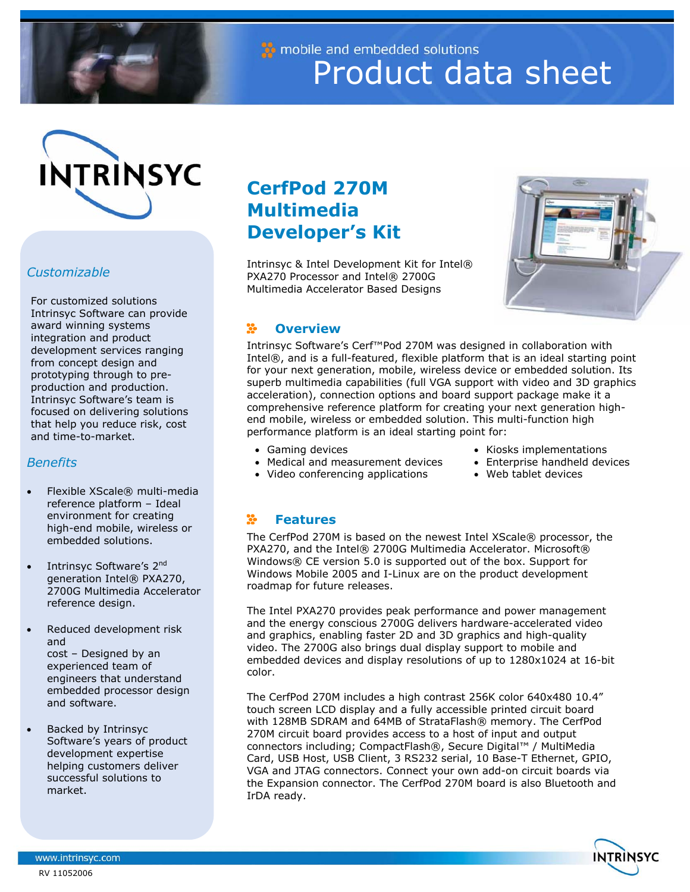

mobile and embedded solutions Product data sheet



# *Customizable*

For customized solutions Intrinsyc Software can provide award winning systems integration and product development services ranging from concept design and prototyping through to preproduction and production. Intrinsyc Software's team is focused on delivering solutions that help you reduce risk, cost and time-to-market.

## *Benefits*

- Flexible XScale® multi-media reference platform – Ideal environment for creating high-end mobile, wireless or embedded solutions.
- Intrinsyc Software's 2<sup>nd</sup> generation Intel<sup>®</sup> PXA270, 2700G Multimedia Accelerator reference design.
- Reduced development risk and cost – Designed by an experienced team of engineers that understand embedded processor design and software.
- Backed by Intrinsyc Software's years of product development expertise helping customers deliver successful solutions to market.

# **CerfPod 270M Multimedia Developer's Kit**

Intrinsyc & Intel Development Kit for Intel® PXA270 Processor and Intel® 2700G Multimedia Accelerator Based Designs



#### **Overview**  X.

Intrinsyc Software's Cerf™Pod 270M was designed in collaboration with Intel®, and is a full-featured, flexible platform that is an ideal starting point for your next generation, mobile, wireless device or embedded solution. Its superb multimedia capabilities (full VGA support with video and 3D graphics acceleration), connection options and board support package make it a comprehensive reference platform for creating your next generation highend mobile, wireless or embedded solution. This multi-function high performance platform is an ideal starting point for:

• Gaming devices • Medical and measurement devices

• Video conferencing applications

- Kiosks implementations • Enterprise handheld devices
	-
	- Web tablet devices

#### X. **Features**

The CerfPod 270M is based on the newest Intel XScale® processor, the PXA270, and the Intel® 2700G Multimedia Accelerator. Microsoft® Windows® CE version 5.0 is supported out of the box. Support for Windows Mobile 2005 and I-Linux are on the product development roadmap for future releases.

The Intel PXA270 provides peak performance and power management and the energy conscious 2700G delivers hardware-accelerated video and graphics, enabling faster 2D and 3D graphics and high-quality video. The 2700G also brings dual display support to mobile and embedded devices and display resolutions of up to 1280x1024 at 16-bit color.

The CerfPod 270M includes a high contrast 256K color 640x480 10.4" touch screen LCD display and a fully accessible printed circuit board with 128MB SDRAM and 64MB of StrataFlash® memory. The CerfPod 270M circuit board provides access to a host of input and output connectors including; CompactFlash®, Secure Digital™ / MultiMedia Card, USB Host, USB Client, 3 RS232 serial, 10 Base-T Ethernet, GPIO, VGA and JTAG connectors. Connect your own add-on circuit boards via the Expansion connector. The CerfPod 270M board is also Bluetooth and IrDA ready.